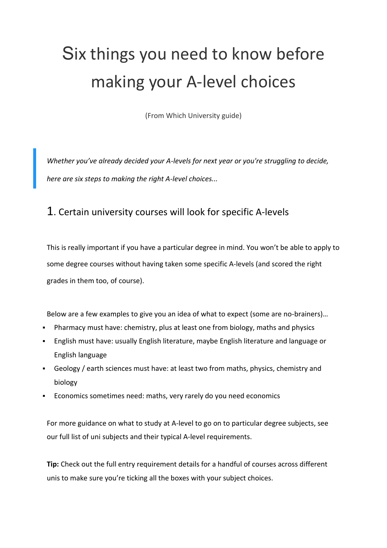# Six things you need to know before making your A-level choices

(From Which University guide)

*Whether you've already decided your A-levels for next year or you're struggling to decide, here are six steps to making the right A-level choices...*

#### 1. Certain university courses will look for specific A-levels

This is really important if you have a particular degree in mind. You won't be able to apply to some degree [courses](https://university.which.co.uk/courses) without having taken some specific A-levels (and scored the right grades in them too, of course).

Below are a few examples to give you an idea of what to expect (some are no-brainers)…

- Pharmacy must have: chemistry, plus at least one from biology, maths and physics
- English must have: usually English literature, maybe English literature and language or English language
- Geology / earth sciences must have: at least two from maths, physics, chemistry and biology
- Economics sometimes need: maths, very rarely do you need economics

For more guidance on what to study at A-level to go on to particular degree subjects, see our full list of uni [subjects](https://university.which.co.uk/courses) and their typical A-level [requirements.](https://university.which.co.uk/advice/a-level-choices/what-a-levels-do-you-need-for-the-degree-you-want-to-study)

**Tip:** Check out the full entry requirement details for a handful of courses across different unis to make sure you're ticking all the boxes with your subject choices.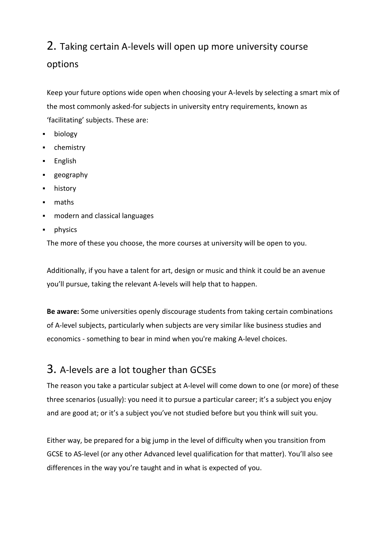# 2. Taking certain A-levels will open up more university course options

Keep your future options wide open when choosing your A-levels by selecting a smart mix of the most commonly asked-for subjects in university entry requirements, known as 'facilitating' subjects. These are:

- biology
- **-** chemistry
- **English**
- **geography**
- **-** history
- maths
- modern and classical languages
- **•** physics

The more of these you choose, the more courses at university will be open to you.

Additionally, if you have a talent for art, design or music and think it could be an avenue you'll pursue, taking the relevant A-levels will help that to happen.

**Be aware:** Some universities openly discourage students from taking certain [combinations](https://university.which.co.uk/advice/a-level-choices/are-certain-a-level-combinations-too-narrow) of A-level [subjects,](https://university.which.co.uk/advice/a-level-choices/are-certain-a-level-combinations-too-narrow) particularly when subjects are very similar like business studies and economics - something to bear in mind when you're making A-level choices.

### 3. A-levels are a lot tougher than GCSEs

The reason you take a particular subject at A-level will come down to one (or more) of these three scenarios (usually): you need it to pursue a particular career; it's a subject you enjoy and are good at; or it's a subject you've not studied before but you think will suit you.

Either way, be prepared for a big jump in the level of difficulty when you transition from GCSE to AS-level (or any other Advanced level qualification for that matter). You'll also see differences in the way you're taught and in what is expected of you.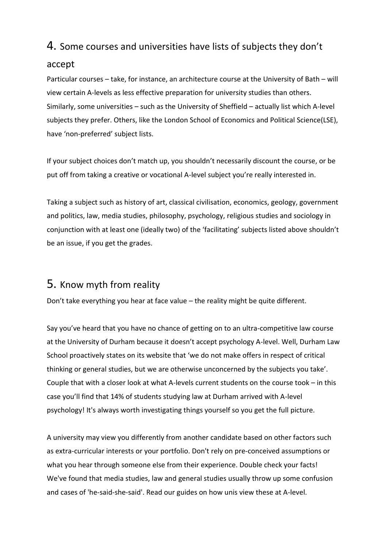## 4. Some courses and universities have lists of subjects they don't

#### accept

Particular courses – take, for instance, an [architecture](https://www.bath.ac.uk/study/ug/prospectus/subject/architecture/entry-requirements/) course at the University of Bath – will view certain A-levels as less effective preparation for university studies than others. Similarly, some universities – such as the [University](https://www.sheffield.ac.uk/undergraduate/policies/alevel) of Sheffield – actually list which A-level subjects they prefer. Others, like the London School of [Economics](https://www2.lse.ac.uk/study/undergraduate/howToApply/lseEntryRequirements.aspx) and Political Science(LSE), have 'non-preferred' subject lists.

If your subject choices don't match up, you shouldn't necessarily discount the course, or be put off from taking a creative or vocational A-level subject you're really interested in.

Taking a subject such as [history](https://university.which.co.uk/subjects/art-history) of art, classical [civilisation,](https://university.which.co.uk/subjects/classics) [economics,](https://university.which.co.uk/subjects/economics) [geology,](https://university.which.co.uk/subjects/geology) [government](https://university.which.co.uk/subjects/politics) and [politics,](https://university.which.co.uk/subjects/politics) [law,](https://university.which.co.uk/subjects/law) media [studies,](https://university.which.co.uk/subjects/media-studies) [philosophy,](https://university.which.co.uk/subjects/philosophy) [psychology,](https://university.which.co.uk/subjects/psychology) [religious](https://university.which.co.uk/subjects/theology-and-religious-studies/) studies and [sociology](https://university.which.co.uk/subjects/sociology) in conjunction with at least one (ideally two) of the 'facilitating' subjects listed above shouldn't be an issue, if you get the grades.

### 5. Know myth from reality

Don't take everything you hear at face value – the reality might be quite different.

Say you've heard that you have no chance of getting on to an ultra-competitive law course at the University of Durham because it doesn't accept psychology A-level. Well, Durham Law School proactively states on its website that 'we do not make offers in respect of critical thinking or general studies, but we are otherwise unconcerned by the subjects you take'. Couple that with a closer look at what A-levels current students on the course took – in this case you'll find that 14% of students studying law at Durham arrived with A-level psychology! It's always worth investigating things yourself so you get the full picture.

A university may view you differently from another candidate based on other factors such as [extra-curricular](https://university.which.co.uk/advice/personal-statements/hobbies-and-your-personal-statement) interests or your [portfolio.](https://university.which.co.uk/advice/ucas-application/putting-together-your-portfolio-students-top-tips) Don't rely on pre-conceived assumptions or what you hear through someone else from their experience. Double check your facts! We've found that media [studies,](https://university.which.co.uk/advice/a-level-choices/what-do-universities-really-think-about-a-level-media-studies) [law](https://university.which.co.uk/advice/a-level-choices/what-do-universities-really-think-about-a-level-law) and [general](https://university.which.co.uk/advice/a-level-choices/what-do-universities-really-think-about-a-level-general-studies) studies usually throw up some confusion and cases of 'he-said-she-said'. Read our guides on how unis view these at A-level.